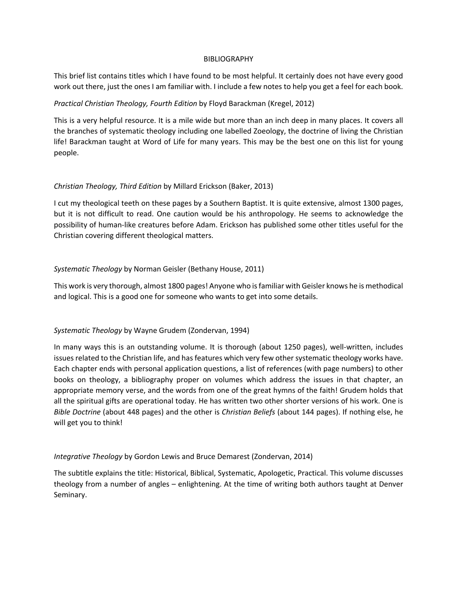#### BIBLIOGRAPHY

This brief list contains titles which I have found to be most helpful. It certainly does not have every good work out there, just the ones I am familiar with. I include a few notes to help you get a feel for each book.

## *Practical Christian Theology, Fourth Edition* by Floyd Barackman (Kregel, 2012)

This is a very helpful resource. It is a mile wide but more than an inch deep in many places. It covers all the branches of systematic theology including one labelled Zoeology, the doctrine of living the Christian life! Barackman taught at Word of Life for many years. This may be the best one on this list for young people.

## *Christian Theology, Third Edition* by Millard Erickson (Baker, 2013)

I cut my theological teeth on these pages by a Southern Baptist. It is quite extensive, almost 1300 pages, but it is not difficult to read. One caution would be his anthropology. He seems to acknowledge the possibility of human-like creatures before Adam. Erickson has published some other titles useful for the Christian covering different theological matters.

## *Systematic Theology* by Norman Geisler (Bethany House, 2011)

This work is very thorough, almost 1800 pages! Anyone who is familiar with Geisler knows he is methodical and logical. This is a good one for someone who wants to get into some details.

# *Systematic Theology* by Wayne Grudem (Zondervan, 1994)

In many ways this is an outstanding volume. It is thorough (about 1250 pages), well-written, includes issues related to the Christian life, and has features which very few other systematic theology works have. Each chapter ends with personal application questions, a list of references (with page numbers) to other books on theology, a bibliography proper on volumes which address the issues in that chapter, an appropriate memory verse, and the words from one of the great hymns of the faith! Grudem holds that all the spiritual gifts are operational today. He has written two other shorter versions of his work. One is *Bible Doctrine* (about 448 pages) and the other is *Christian Beliefs* (about 144 pages). If nothing else, he will get you to think!

### *Integrative Theology* by Gordon Lewis and Bruce Demarest (Zondervan, 2014)

The subtitle explains the title: Historical, Biblical, Systematic, Apologetic, Practical. This volume discusses theology from a number of angles – enlightening. At the time of writing both authors taught at Denver Seminary.